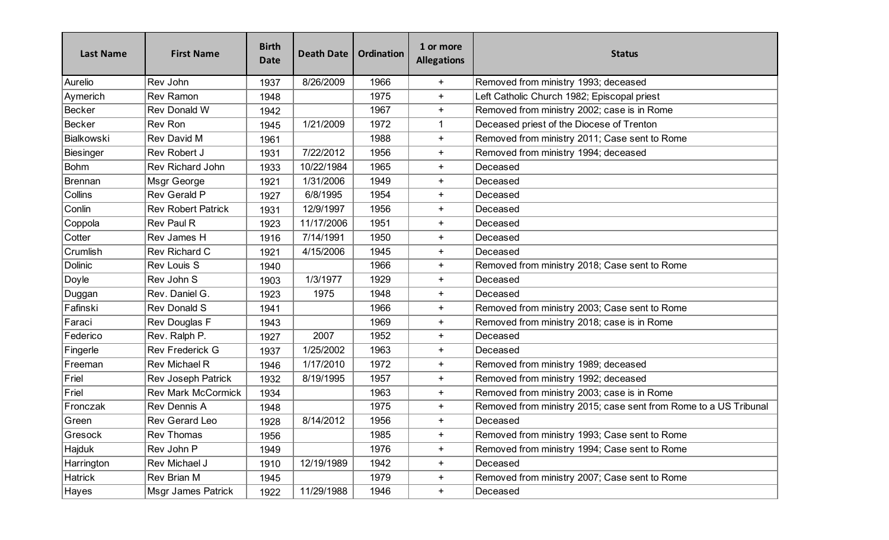| <b>Last Name</b> | <b>First Name</b>         | <b>Birth</b><br><b>Date</b> | <b>Death Date</b> | <b>Ordination</b> | 1 or more<br><b>Allegations</b> | <b>Status</b>                                                    |
|------------------|---------------------------|-----------------------------|-------------------|-------------------|---------------------------------|------------------------------------------------------------------|
| Aurelio          | Rev John                  | 1937                        | 8/26/2009         | 1966              | $+$                             | Removed from ministry 1993; deceased                             |
| Aymerich         | <b>Rev Ramon</b>          | 1948                        |                   | 1975              | $\ddot{}$                       | Left Catholic Church 1982; Episcopal priest                      |
| Becker           | Rev Donald W              | 1942                        |                   | 1967              | $+$                             | Removed from ministry 2002; case is in Rome                      |
| Becker           | <b>Rev Ron</b>            | 1945                        | 1/21/2009         | 1972              | 1                               | Deceased priest of the Diocese of Trenton                        |
| Bialkowski       | Rev David M               | 1961                        |                   | 1988              | $\ddot{}$                       | Removed from ministry 2011; Case sent to Rome                    |
| Biesinger        | <b>Rev Robert J</b>       | 1931                        | 7/22/2012         | 1956              | $+$                             | Removed from ministry 1994; deceased                             |
| Bohm             | <b>Rev Richard John</b>   | 1933                        | 10/22/1984        | 1965              | $\ddot{}$                       | Deceased                                                         |
| Brennan          | Msgr George               | 1921                        | 1/31/2006         | 1949              | $\ddot{}$                       | Deceased                                                         |
| Collins          | Rev Gerald P              | 1927                        | 6/8/1995          | 1954              | $+$                             | Deceased                                                         |
| Conlin           | <b>Rev Robert Patrick</b> | 1931                        | 12/9/1997         | 1956              | $\ddot{}$                       | Deceased                                                         |
| Coppola          | Rev Paul R                | 1923                        | 11/17/2006        | 1951              | $\ddot{}$                       | Deceased                                                         |
| Cotter           | Rev James H               | 1916                        | 7/14/1991         | 1950              | $+$                             | Deceased                                                         |
| Crumlish         | Rev Richard C             | 1921                        | 4/15/2006         | 1945              | $\ddot{}$                       | Deceased                                                         |
| Dolinic          | <b>Rev Louis S</b>        | 1940                        |                   | 1966              | $\ddot{}$                       | Removed from ministry 2018; Case sent to Rome                    |
| Doyle            | Rev John S                | 1903                        | 1/3/1977          | 1929              | $+$                             | Deceased                                                         |
| Duggan           | Rev. Daniel G.            | 1923                        | 1975              | 1948              | $\ddot{}$                       | Deceased                                                         |
| Fafinski         | <b>Rev Donald S</b>       | 1941                        |                   | 1966              | $\ddot{}$                       | Removed from ministry 2003; Case sent to Rome                    |
| Faraci           | Rev Douglas F             | 1943                        |                   | 1969              | $+$                             | Removed from ministry 2018; case is in Rome                      |
| Federico         | Rev. Ralph P.             | 1927                        | 2007              | 1952              | $\ddot{}$                       | Deceased                                                         |
| Fingerle         | <b>Rev Frederick G</b>    | 1937                        | 1/25/2002         | 1963              | $\ddot{}$                       | Deceased                                                         |
| Freeman          | Rev Michael R             | 1946                        | 1/17/2010         | 1972              | $\ddot{}$                       | Removed from ministry 1989; deceased                             |
| $ $ Friel        | <b>Rev Joseph Patrick</b> | 1932                        | 8/19/1995         | 1957              | $\ddot{}$                       | Removed from ministry 1992; deceased                             |
| $ $ Friel        | <b>Rev Mark McCormick</b> | 1934                        |                   | 1963              | $\ddot{}$                       | Removed from ministry 2003; case is in Rome                      |
| Fronczak         | Rev Dennis A              | 1948                        |                   | 1975              | $\ddot{}$                       | Removed from ministry 2015; case sent from Rome to a US Tribunal |
| Green            | Rev Gerard Leo            | 1928                        | 8/14/2012         | 1956              | $\ddot{}$                       | Deceased                                                         |
| Gresock          | <b>Rev Thomas</b>         | 1956                        |                   | 1985              | $\ddot{}$                       | Removed from ministry 1993; Case sent to Rome                    |
| Hajduk           | Rev John P                | 1949                        |                   | 1976              | $+$                             | Removed from ministry 1994; Case sent to Rome                    |
| Harrington       | Rev Michael J             | 1910                        | 12/19/1989        | 1942              | $+$                             | Deceased                                                         |
| Hatrick          | Rev Brian M               | 1945                        |                   | 1979              | $+$                             | Removed from ministry 2007; Case sent to Rome                    |
| Hayes            | Msgr James Patrick        | 1922                        | 11/29/1988        | 1946              | $+$                             | Deceased                                                         |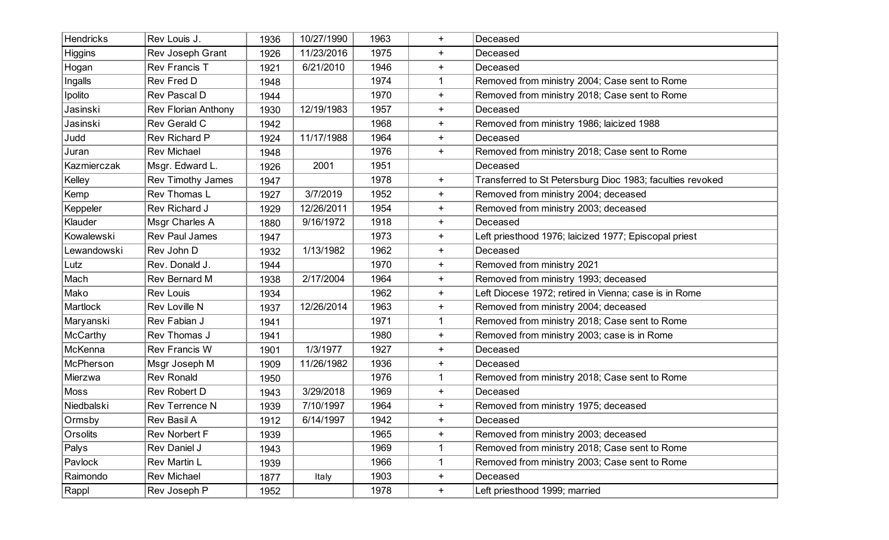| Hendricks       | Rev Louis J.               | 1936 | 10/27/1990 | 1963 | $\ddot{}$   | Deceased                                                  |
|-----------------|----------------------------|------|------------|------|-------------|-----------------------------------------------------------|
| <b>Higgins</b>  | Rev Joseph Grant           | 1926 | 11/23/2016 | 1975 | $\ddot{}$   | Deceased                                                  |
| Hogan           | <b>Rev Francis T</b>       | 1921 | 6/21/2010  | 1946 | $+$         | Deceased                                                  |
| Ingalls         | Rev Fred D                 | 1948 |            | 1974 | -1          | Removed from ministry 2004; Case sent to Rome             |
| Ipolito         | Rev Pascal D               | 1944 |            | 1970 | $\ddot{}$   | Removed from ministry 2018; Case sent to Rome             |
| Jasinski        | <b>Rev Florian Anthony</b> | 1930 | 12/19/1983 | 1957 | $+$         | Deceased                                                  |
| Jasinski        | Rev Gerald C               | 1942 |            | 1968 | $\ddot{}$   | Removed from ministry 1986; laicized 1988                 |
| Judd            | <b>Rev Richard P</b>       | 1924 | 11/17/1988 | 1964 | $\ddot{}$   | Deceased                                                  |
| Juran           | <b>Rev Michael</b>         | 1948 |            | 1976 | $+$         | Removed from ministry 2018; Case sent to Rome             |
| Kazmierczak     | Msgr. Edward L.            | 1926 | 2001       | 1951 |             | Deceased                                                  |
| Kelley          | Rev Timothy James          | 1947 |            | 1978 | $+$         | Transferred to St Petersburg Dioc 1983; faculties revoked |
| Kemp            | Rev Thomas L               | 1927 | 3/7/2019   | 1952 | $+$         | Removed from ministry 2004; deceased                      |
| Keppeler        | Rev Richard J              | 1929 | 12/26/2011 | 1954 | $\ddot{}$   | Removed from ministry 2003; deceased                      |
| Klauder         | Msgr Charles A             | 1880 | 9/16/1972  | 1918 | $\ddot{}$   | Deceased                                                  |
| Kowalewski      | <b>Rev Paul James</b>      | 1947 |            | 1973 | $+$         | Left priesthood 1976; laicized 1977; Episcopal priest     |
| Lewandowski     | Rev John D                 | 1932 | 1/13/1982  | 1962 | $\ddot{}$   | Deceased                                                  |
| Lutz            | Rev. Donald J.             | 1944 |            | 1970 | $\ddot{}$   | Removed from ministry 2021                                |
| Mach            | Rev Bernard M              | 1938 | 2/17/2004  | 1964 | $\ddot{}$   | Removed from ministry 1993; deceased                      |
| Mako            | <b>Rev Louis</b>           | 1934 |            | 1962 | $\ddot{}$   | Left Diocese 1972; retired in Vienna; case is in Rome     |
| Martlock        | Rev Loville N              | 1937 | 12/26/2014 | 1963 | $\ddot{}$   | Removed from ministry 2004; deceased                      |
| Maryanski       | Rev Fabian J               | 1941 |            | 1971 | 1           | Removed from ministry 2018; Case sent to Rome             |
| <b>McCarthy</b> | Rev Thomas J               | 1941 |            | 1980 | $\ddot{}$   | Removed from ministry 2003; case is in Rome               |
| McKenna         | <b>Rev Francis W</b>       | 1901 | 1/3/1977   | 1927 | $\ddot{}$   | Deceased                                                  |
| McPherson       | Msgr Joseph M              | 1909 | 11/26/1982 | 1936 | $+$         | Deceased                                                  |
| Mierzwa         | <b>Rev Ronald</b>          | 1950 |            | 1976 | -1          | Removed from ministry 2018; Case sent to Rome             |
| Moss            | Rev Robert D               | 1943 | 3/29/2018  | 1969 | $\ddot{}$   | Deceased                                                  |
| Niedbalski      | Rev Terrence N             | 1939 | 7/10/1997  | 1964 | $\ddot{}$   | Removed from ministry 1975; deceased                      |
| Ormsby          | Rev Basil A                | 1912 | 6/14/1997  | 1942 | $\ddot{}$   | Deceased                                                  |
| Orsolits        | <b>Rev Norbert F</b>       | 1939 |            | 1965 | $\ddot{}$   | Removed from ministry 2003; deceased                      |
| Palys           | Rev Daniel J               | 1943 |            | 1969 | $\mathbf 1$ | Removed from ministry 2018; Case sent to Rome             |
| Pavlock         | Rev Martin L               | 1939 |            | 1966 | -1          | Removed from ministry 2003; Case sent to Rome             |
| Raimondo        | Rev Michael                | 1877 | Italy      | 1903 | $+$         | Deceased                                                  |
| Rappl           | Rev Joseph P               | 1952 |            | 1978 | $+$         | Left priesthood 1999; married                             |